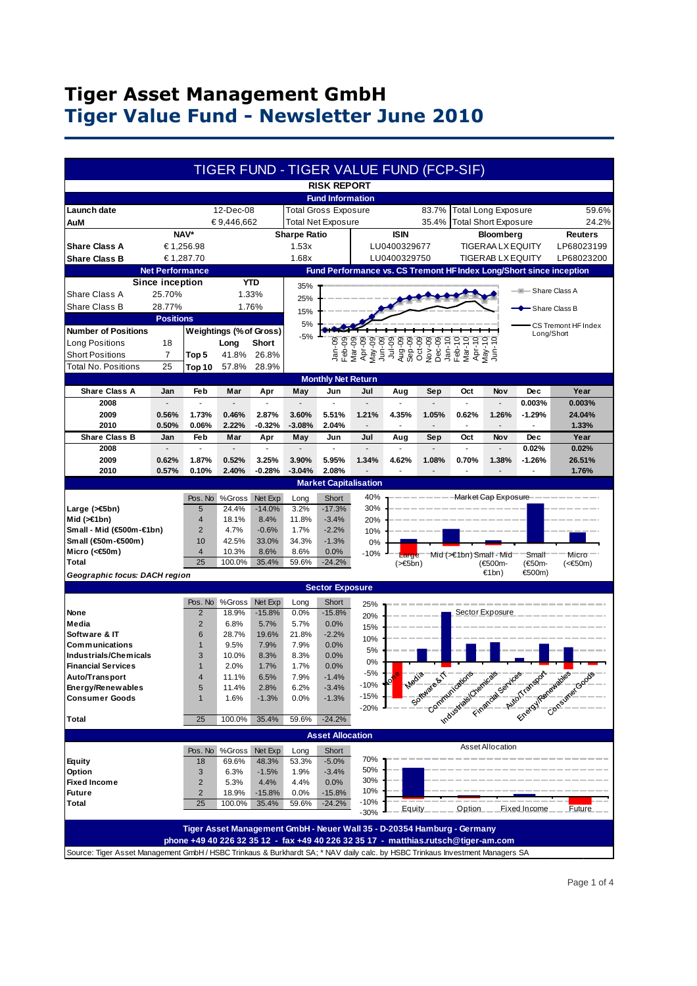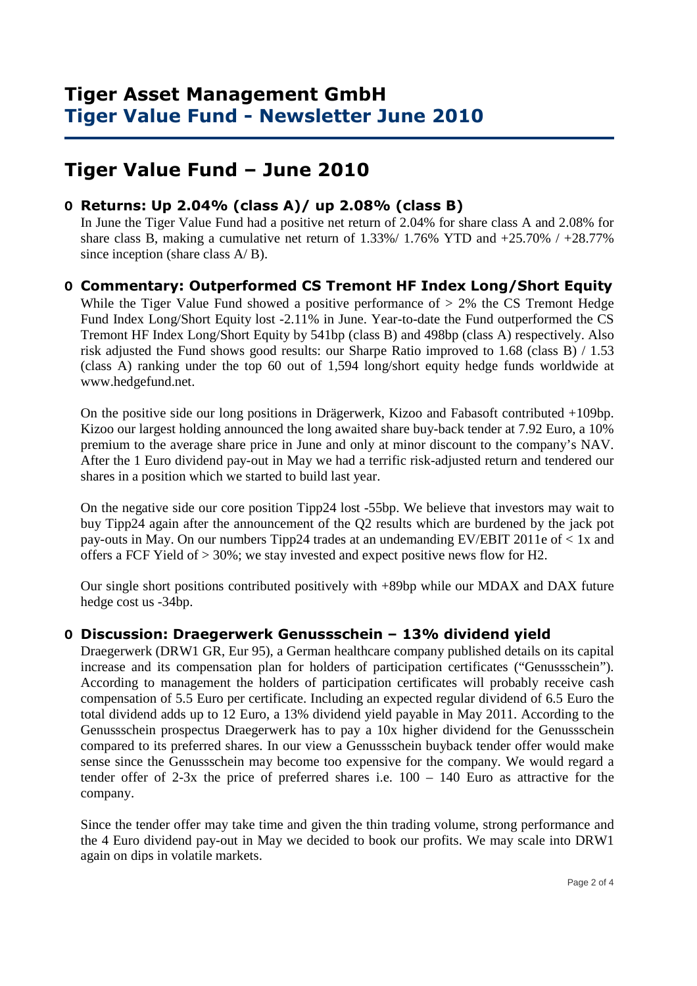# **Tiger Value Fund – June 2010**

### **O Returns: Up 2.04% (class A)/ up 2.08% (class B)**

 In June the Tiger Value Fund had a positive net return of 2.04% for share class A and 2.08% for share class B, making a cumulative net return of  $1.33\%/1.76\%$  YTD and  $+25.70\%/1.28.77\%$ since inception (share class A/B).

#### **O Commentary: Outperformed CS Tremont HF Index Long/Short Equity**  While the Tiger Value Fund showed a positive performance of  $> 2\%$  the CS Tremont Hedge Fund Index Long/Short Equity lost -2.11% in June. Year-to-date the Fund outperformed the CS Tremont HF Index Long/Short Equity by 541bp (class B) and 498bp (class A) respectively. Also risk adjusted the Fund shows good results: our Sharpe Ratio improved to 1.68 (class B) / 1.53 (class A) ranking under the top 60 out of 1,594 long/short equity hedge funds worldwide at www.hedgefund.net.

On the positive side our long positions in Drägerwerk, Kizoo and Fabasoft contributed +109bp. Kizoo our largest holding announced the long awaited share buy-back tender at 7.92 Euro, a 10% premium to the average share price in June and only at minor discount to the company's NAV. After the 1 Euro dividend pay-out in May we had a terrific risk-adjusted return and tendered our shares in a position which we started to build last year.

On the negative side our core position Tipp24 lost -55bp. We believe that investors may wait to buy Tipp24 again after the announcement of the Q2 results which are burdened by the jack pot pay-outs in May. On our numbers Tipp24 trades at an undemanding EV/EBIT 2011e of < 1x and offers a FCF Yield of > 30%; we stay invested and expect positive news flow for H2.

Our single short positions contributed positively with +89bp while our MDAX and DAX future hedge cost us -34bp.

### **O Discussion: Draegerwerk Genussschein – 13% dividend yield**

Draegerwerk (DRW1 GR, Eur 95), a German healthcare company published details on its capital increase and its compensation plan for holders of participation certificates ("Genussschein"). According to management the holders of participation certificates will probably receive cash compensation of 5.5 Euro per certificate. Including an expected regular dividend of 6.5 Euro the total dividend adds up to 12 Euro, a 13% dividend yield payable in May 2011. According to the Genussschein prospectus Draegerwerk has to pay a 10x higher dividend for the Genussschein compared to its preferred shares. In our view a Genussschein buyback tender offer would make sense since the Genussschein may become too expensive for the company. We would regard a tender offer of 2-3x the price of preferred shares i.e. 100 – 140 Euro as attractive for the company.

Since the tender offer may take time and given the thin trading volume, strong performance and the 4 Euro dividend pay-out in May we decided to book our profits. We may scale into DRW1 again on dips in volatile markets.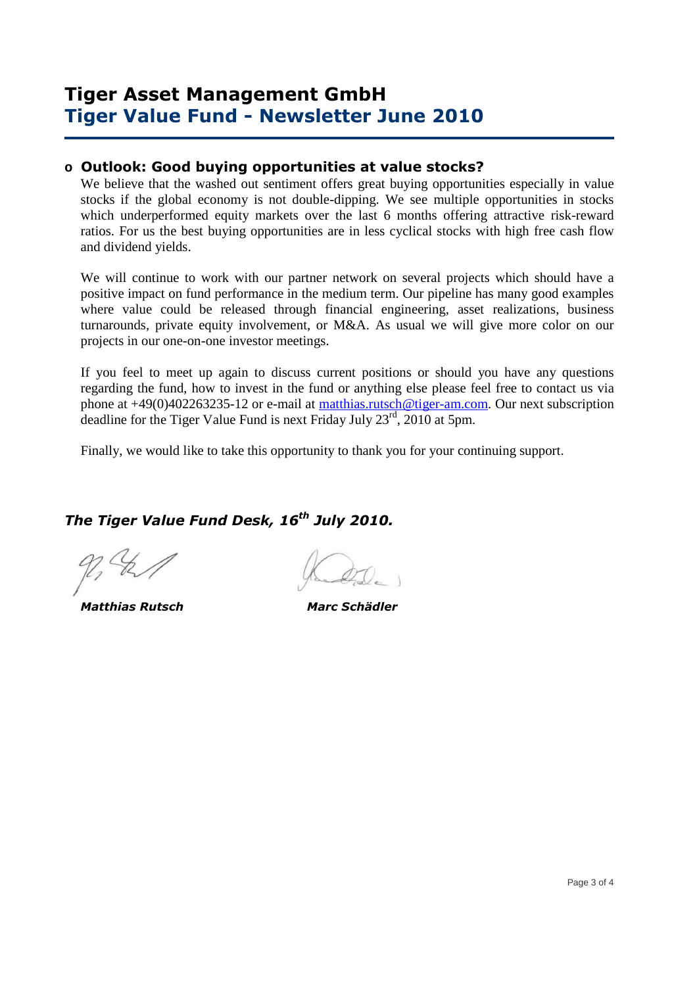#### **o Outlook: Good buying opportunities at value stocks?**

We believe that the washed out sentiment offers great buying opportunities especially in value stocks if the global economy is not double-dipping. We see multiple opportunities in stocks which underperformed equity markets over the last 6 months offering attractive risk-reward ratios. For us the best buying opportunities are in less cyclical stocks with high free cash flow and dividend yields.

We will continue to work with our partner network on several projects which should have a positive impact on fund performance in the medium term. Our pipeline has many good examples where value could be released through financial engineering, asset realizations, business turnarounds, private equity involvement, or M&A. As usual we will give more color on our projects in our one-on-one investor meetings.

If you feel to meet up again to discuss current positions or should you have any questions regarding the fund, how to invest in the fund or anything else please feel free to contact us via phone at +49(0)402263235-12 or e-mail at matthias.rutsch@tiger-am.com. Our next subscription deadline for the Tiger Value Fund is next Friday July 23rd, 2010 at 5pm.

Finally, we would like to take this opportunity to thank you for your continuing support.

## *The Tiger Value Fund Desk, 16th July 2010.*

 *Matthias Rutsch Marc Schädler*